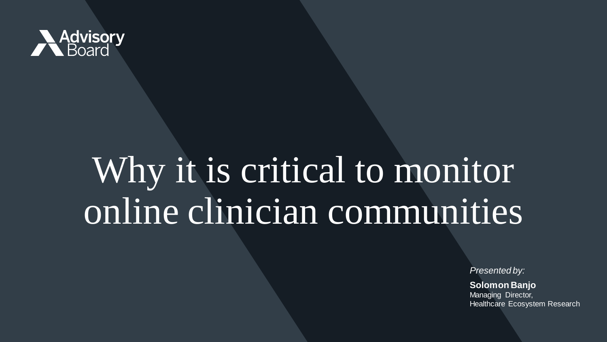

# Why it is critical to monitor online clinician communities

*Presented by:* 

**Solomon Banjo** Managing Director, Healthcare Ecosystem Research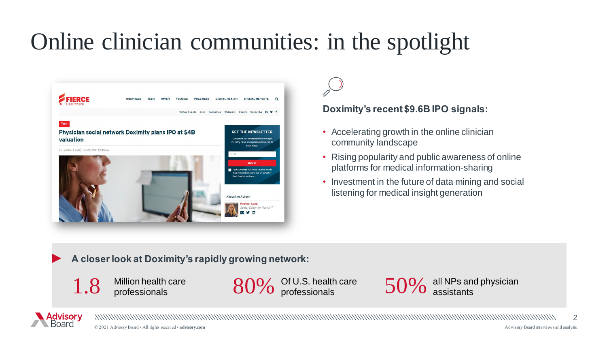## Online clinician communities: in the spotlight



#### **Doximity's recent \$9.6B IPO signals:**

- Accelerating growth in the online clinician community landscape
- Rising popularity and public awareness of online platforms for medical information-sharing
- Investment in the future of data mining and social listening for medical insight generation

**A closer look at Doximity's rapidly growing network:** 



Of U.S. health care professionals

all NPs and physician<br>assistants

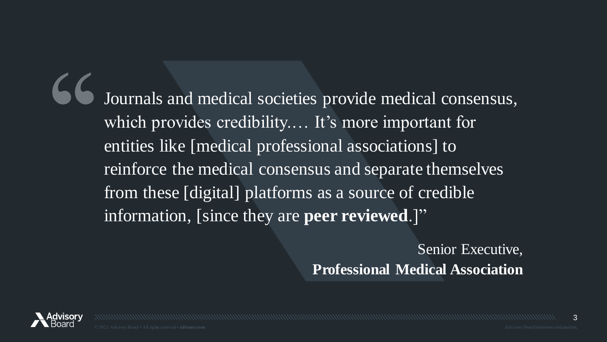Journals and medical societies provide medical consensus, which provides credibility.... It's more important for entities like [medical professional associations] to reinforce the medical consensus and separate themselves from these [digital] platforms as a source of credible information, [since they are **peer reviewed**.]" ''

> Senior Executive, **Professional Medical Association**

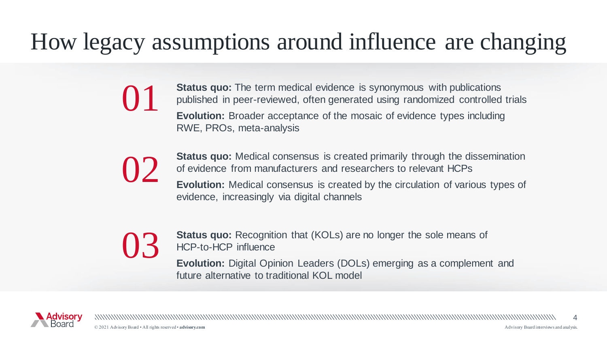## How legacy assumptions around influence are changing

**Status quo:** The term medical evidence is synonymous with publications published in peer-reviewed, often generated using randomized controlled trials **Evolution:** Broader acceptance of the mosaic of evidence types including RWE, PROs, meta-analysis



 $\overline{\phantom{0}}$ 

**Status quo:** Medical consensus is created primarily through the dissemination of evidence from manufacturers and researchers to relevant HCPs

**Evolution:** Medical consensus is created by the circulation of various types of evidence, increasingly via digital channels

# 03

**Status quo:** Recognition that (KOLs) are no longer the sole means of HCP-to-HCP influence

**Evolution:** Digital Opinion Leaders (DOLs) emerging as a complement and future alternative to traditional KOL model

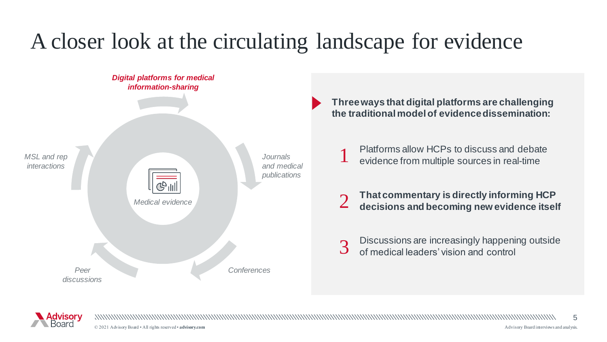### A closer look at the circulating landscape for evidence



**Three ways that digital platforms are challenging the traditional model of evidence dissemination:** 

Platforms allow HCPs to discuss and debate evidence from multiple sources in real-time

**That commentary is directly informing HCP** 2 **decisions and becoming new evidence itself** 

Discussions are increasingly happening outside<br>of medical leaders' vision and control



© 2021 Advisory Board • All rights reserved • **advisory.com** [Advisory Board interviews and analysis.](http://www.advisory.com/)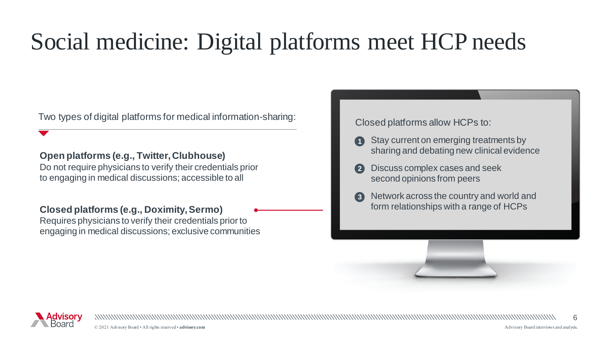## Social medicine: Digital platforms meet HCP needs

Two types of digital platforms for medical information-sharing:<br>
Closed platforms allow HCPs to:

#### **Open platforms (e.g., Twitter, Clubhouse)**

Do not require physicians to verify their credentials prior to engaging in medical discussions; accessible to all

#### **Closed platforms (e.g., Doximity, Sermo)**

Requires physicians to verify their credentials prior to engaging in medical discussions; exclusive communities

- **1** Stay current on emerging treatments by sharing and debating new clinical evidence
- **2** Discuss complex cases and seek second opinions from peers
- **3** Network across the country and world and form relationships with a range of HCPs



© 2021 Advisory Board • All rights reserved • **advisory.com** [Advisory Board interviews and analysis.](http://www.advisory.com/)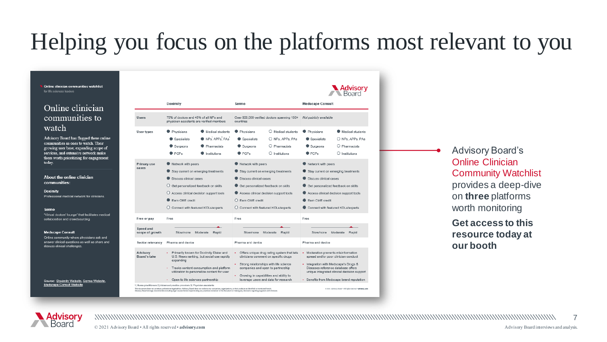## Helping you focus on the platforms most relevant to you

Online clinician communities watchlist for life sciences leaders

#### Online clinician communities to watch

Advisory Board has flagged these online communities as ones to watch. Their growing user base, expanding scope of services, and extensive network make them worth prioritizing for engagement today.

About the online clinician communities:

**Doximity** Professional medical network for clinicians.

Sermo

"Virtual doctors' lounge" that facilitates medical collaboration and crowdsourcing.

#### **Medscape Consult**

Online community where physicians ask and answer clinical questions as well as share and discuss clinical challenges

| Source: Doximity Website, Sermo Website, |  |
|------------------------------------------|--|
| Medscape Consult Website                 |  |

|                                                                                                                                                                                                                                                                                                                        |                                                                                                                                                                                                                                                     | Advisory                                                                                                                                                                                                                                                                                                                                                                |  |
|------------------------------------------------------------------------------------------------------------------------------------------------------------------------------------------------------------------------------------------------------------------------------------------------------------------------|-----------------------------------------------------------------------------------------------------------------------------------------------------------------------------------------------------------------------------------------------------|-------------------------------------------------------------------------------------------------------------------------------------------------------------------------------------------------------------------------------------------------------------------------------------------------------------------------------------------------------------------------|--|
| Doximity                                                                                                                                                                                                                                                                                                               | Sermo                                                                                                                                                                                                                                               | <b>Medscape Consult</b>                                                                                                                                                                                                                                                                                                                                                 |  |
| 75% of doctors and 45% of all NPs and<br>physician assistants are verified members                                                                                                                                                                                                                                     | Over 800,000 verified doctors spanning 150+<br>countries                                                                                                                                                                                            | Not publicly available                                                                                                                                                                                                                                                                                                                                                  |  |
| Medical students<br>Physicians<br>NPs, APPs, PAs<br>Specialists<br>Pharmacists<br>Surgeons<br>PCPs<br>Institutions                                                                                                                                                                                                     | O Medical students<br>Physicians<br>Specialists<br>O NPs, APPs, PAs<br>Pharmacists<br>Surgeons<br>PCPs<br>Institutions                                                                                                                              | Physicians<br>Medical students<br>Specialists<br>O NPs. APPs. PAs<br>Surgeons<br>O Pharmacists<br>$O$ Institutions<br>PCP <sub>5</sub>                                                                                                                                                                                                                                  |  |
| Network with peers<br>Stay current on emerging treatments<br>Discuss clinical cases<br>Get personalized feedback on skills<br>Access clinical decision support tools<br>Earn CME credit<br>O Connect with featured KOLs/experts                                                                                        | Network with peers<br>Stay current on emerging treatments<br>Discuss clinical cases<br>Get personalized feedback on skills<br>Access clinical decision support tools<br>C Earn CME credit<br>O Connect with featured KOLs/experts                   | Network with peers<br>Stay current on emerging treatments<br>Discuss clinical cases<br>Get personalized feedback on skills<br>Access clinical decision support tools<br>Earn CME credit<br>Connect with featured KOLs/experts                                                                                                                                           |  |
| Free<br>Slow/none<br>Moderate<br>Rapid                                                                                                                                                                                                                                                                                 | Free<br>Slow/none<br>Moderate<br>Rapid                                                                                                                                                                                                              | Free<br>Slow/none<br>Moderate<br>Rapid                                                                                                                                                                                                                                                                                                                                  |  |
| Pharma and device                                                                                                                                                                                                                                                                                                      | Pharma and device                                                                                                                                                                                                                                   | Pharma and device                                                                                                                                                                                                                                                                                                                                                       |  |
| Primarily known for Doximity Dialer and<br>U.S. News ranking, but social use rapidly<br>expanding<br>Tracks content consumption and platform<br>٠<br>utilization to personalize content for user<br>Open to life sciences partnership<br>1) Nurse practitioners 2) Advanced practice providers 3) Physician assistants | Offers unique drug rating system that lets<br>clinicians comment on specific drugs<br>Strong relationships with life science<br>companies and open to partnership<br>Growing in capabilities and ability to<br>leverage users and data for research | Moderation prevents misinformation<br>spread and/or poor clinician conduct<br>· Integration with Medscape's Drugs &<br>Diseases reference database offers<br>unique integrated clinical decision support<br>Benefits from Medscape brand reputation                                                                                                                     |  |
|                                                                                                                                                                                                                                                                                                                        |                                                                                                                                                                                                                                                     | This document does not constitute professional legal advice. Advisory Board does not endorse any companies, organizations, or their products as identified or mentioned herein.<br>Advisory Board strongly recommends consulting legal counsel before implementing any practices contained in this document or making any decisions regarding suppliers and clinicians. |  |

Advisory Board's Online Clinician Community Watchlist provides a deep-dive on **three** platforms worth monitoring

**Get access to this resource today at our booth**

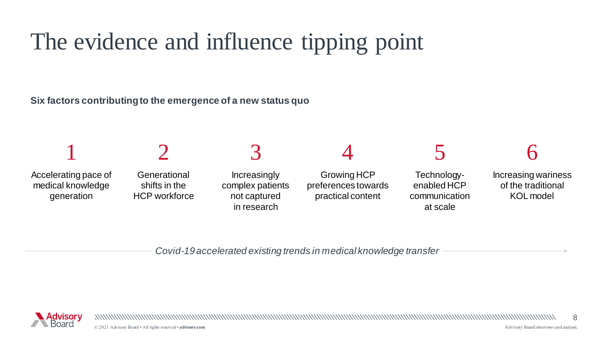## The evidence and influence tipping point

**Six factors contributing to the emergence of a new status quo** 



*Covid-19 accelerated existing trends in medical knowledge transfer*

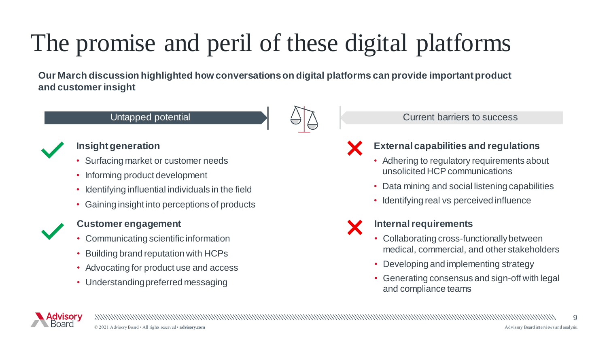## The promise and peril of these digital platforms

**Our March discussion highlighted how conversations on digital platforms can provide important product and customer insight**



### **Insight generation**

- Surfacing market or customer needs
- Informing product development
- Identifying influential individuals in the field
- Gaining insight into perceptions of products



### **Customer engagement**

- Communicating scientific information
- Building brand reputation with HCPs
- Advocating for product use and access
- Understanding preferred messaging





### **External capabilities and regulations**

- Adhering to regulatory requirements about unsolicited HCP communications
- Data mining and social listening capabilities
- Identifying real vs perceived influence

### **Internal requirements**

- Collaborating cross-functionally between medical, commercial, and other stakeholders
- Developing and implementing strategy
- Generating consensus and sign-off with legal and compliance teams

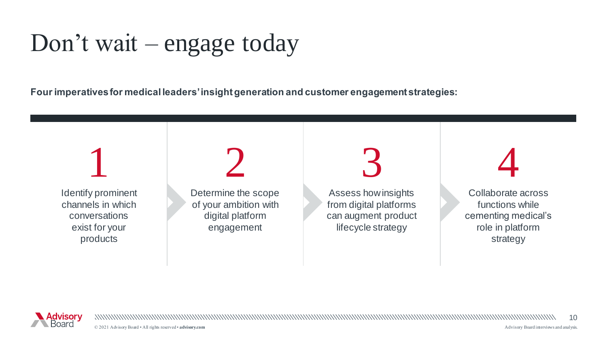Don't wait – engage today

**Four imperatives for medical leaders' insight generation and customer engagement strategies:** 





© 2021 Advisory Board • All rights reserved • **advisory.com** [Advisory Board interviews and analysis.](http://www.advisory.com/)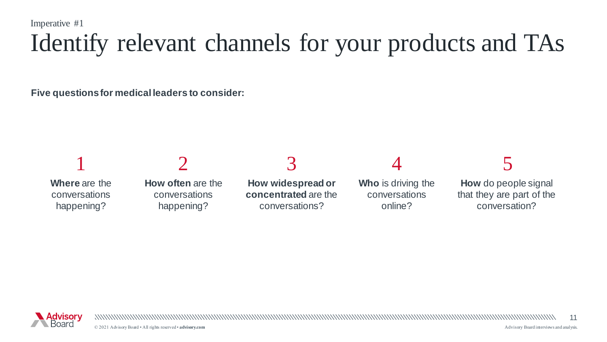Imperative #1

## Identify relevant channels for your products and TAs

**Five questions for medical leaders to consider:** 



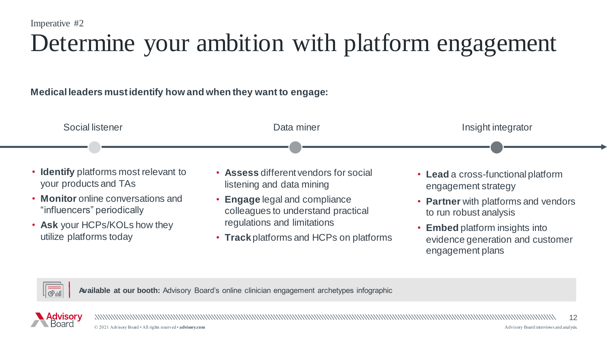## Determine your ambition with platform engagement

### **Medical leaders must identify how and when they want to engage:**



- **Monitor** online conversations and "influencers" periodically
- **Ask** your HCPs/KOLs how they utilize platforms today
- listening and data mining
- **Engage** legal and compliance colleagues to understand practical regulations and limitations
- **Track** platforms and HCPs on platforms
- engagement strategy
- **Partner** with platforms and vendors to run robust analysis
- **Embed** platform insights into evidence generation and customer engagement plans



**Available at our booth:** Advisory Board's online clinician engagement archetypes infographic



12 © 2021 Advisory Board • All rights reserved • **advisory.com** [Advisory Board interviews and analysis.](http://www.advisory.com/)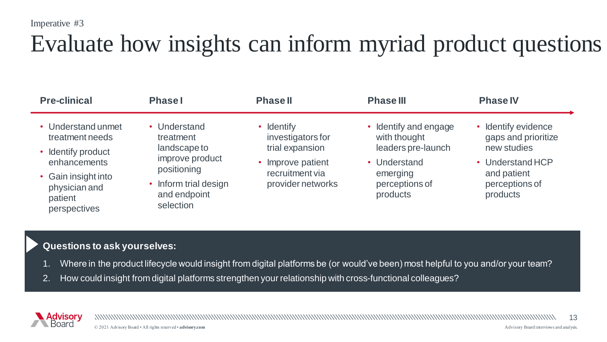Imperative #3

### Evaluate how insights can inform myriad product questions

| <b>Pre-clinical</b>                                             | <b>Phase</b>                                                                | <b>Phase II</b>                                         | <b>Phase III</b>                                          | <b>Phase IV</b>                                               |
|-----------------------------------------------------------------|-----------------------------------------------------------------------------|---------------------------------------------------------|-----------------------------------------------------------|---------------------------------------------------------------|
| • Understand unmet<br>treatment needs<br>• Identify product     | • Understand<br>treatment<br>landscape to<br>improve product<br>positioning | <b>Identify</b><br>investigators for<br>trial expansion | Identify and engage<br>with thought<br>leaders pre-launch | • Identify evidence<br>gaps and prioritize<br>new studies     |
| enhancements                                                    |                                                                             | Improve patient<br>recruitment via<br>provider networks | • Understand<br>emerging<br>perceptions of<br>products    | • Understand HCP<br>and patient<br>perceptions of<br>products |
| • Gain insight into<br>physician and<br>patient<br>perspectives | Inform trial design<br>and endpoint<br>selection                            |                                                         |                                                           |                                                               |

#### **Questions to ask yourselves:**

- Where in the product lifecycle would insight from digital platforms be (or would've been) most helpful to you and/or your team?
- 2. How could insight from digital platforms strengthen your relationship with cross-functional colleagues?

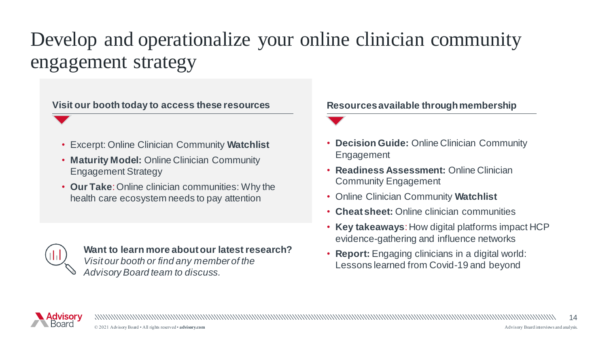### Develop and operationalize your online clinician community engagement strategy

Visit our booth today to access these resources **Resources** available through membership

- Excerpt: Online Clinician Community **Watchlist**
- **Maturity Model:** Online Clinician Community Engagement Strategy
- **Our Take**: Online clinician communities: Why the health care ecosystem needs to pay attention

**Want to learn more about our latest research?**  *Visit our booth or find any member of the Advisory Board team to discuss.*

• **Decision Guide:** Online Clinician Community Engagement

- **Readiness Assessment:** Online Clinician Community Engagement
- Online Clinician Community **Watchlist**
- **Cheat sheet:** Online clinician communities
- **Key takeaways**: How digital platforms impact HCP evidence-gathering and influence networks
- **Report:** Engaging clinicians in a digital world: Lessons learned from Covid-19 and beyond

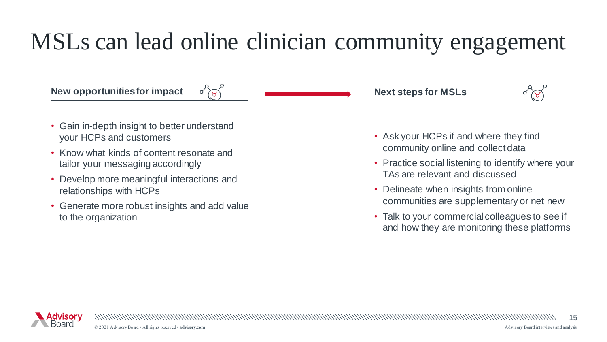### MSLs can lead online clinician community engagement

### **New opportunities for impact**

• Gain in-depth insight to better understand your HCPs and customers

 $\alpha$  (B)

- Know what kinds of content resonate and tailor your messaging accordingly
- Develop more meaningful interactions and relationships with HCPs
- Generate more robust insights and add value to the organization

**Next steps for MSLs**



- Ask your HCPs if and where they find community online and collect data
- Practice social listening to identify where your TAs are relevant and discussed
- Delineate when insights from online communities are supplementary or net new
- Talk to your commercial colleagues to see if and how they are monitoring these platforms

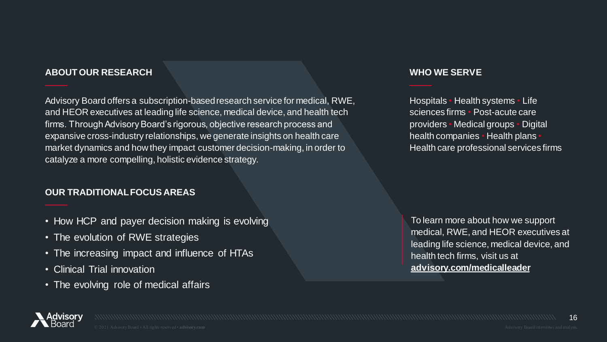#### **ABOUT OUR RESEARCH**

Advisory Board offers a subscription-based research service for medical, RWE, and HEOR executives at leading life science, medical device, and health tech firms. Through Advisory Board's rigorous, objective research process and expansive cross-industry relationships, we generate insights on health care market dynamics and how they impact customer decision-making, in order to catalyze a more compelling, holistic evidence strategy.

#### **OUR TRADITIONAL FOCUS AREAS**

- How HCP and payer decision making is evolving
- The evolution of RWE strategies
- The increasing impact and influence of HTAs
- Clinical Trial innovation
- The evolving role of medical affairs

#### **WHO WE SERVE**

Hospitals • Health systems • Life sciences firms • Post-acute care providers • Medical groups • Digital health companies • Health plans • Health care professional services firms

To learn more about how we support medical, RWE, and HEOR executives at leading life science, medical device, and health tech firms, visit us at **[advisory.com/medicalleader](https://www.advisory.com/medicalleader)**

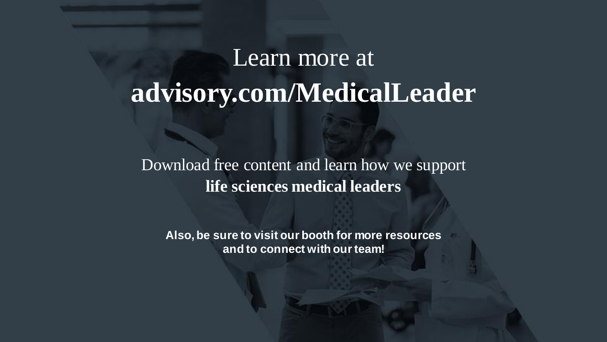## Learn more at **advisory.com/MedicalLeader**

Download free content and learn how we support **life sciences medical leaders**

**Also, be sure to visit our booth for more resources and to connect with our team!**

© 2021 Advisory Board • All rights reserved • **advisory.com** [Advisory Board interviews and analysis.](http://www.advisory.com/)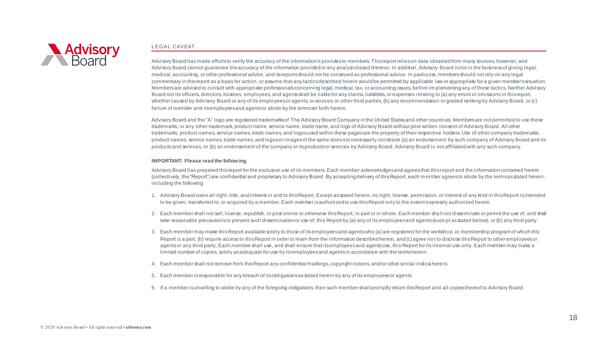

#### L EGAL CAVEAT

Advisory Board has made efforts to verify the accuracy of the information it provides to members. This report relies on data obtained from many sources, however, and Advisory Board cannot guarantee the accuracy of the information provided or any analysis based thereon. In addition, Advisory Board is not in the business of giving legal, medical, accounting, or other professional advice, and its reports should not be construed as professional advice. In particular, members should not rely on any legal commentary in this report as a basis for action, or assume that any tactics described herein would be permitted by applicable law or appropriate for a given member's situation. Members are advised to consult with appropriate professionals concerning legal, medical, tax, or accounting issues, before im plementing any of these tactics. Neither Advisory Board nor its officers, directors, trustees, employees, and agents shall be liable for any claims, liabilities, or expenses relating to (a) any errors or omissions in this report, whether caused by Advisory Board or any of its employees or agents, or sources or other third parties, (b) any recommendation or graded ranking by Advisory Board, or (c) failure of member and its employees and agents to abide by the terms set forth herein.

Advisory Board and the "A" logo are registered trademarks of The Advisory Board Company in the United States and other countries. Members are not permitted to use these trademarks, or any other trademark, product name, service name, trade name, and logo of Advisory Board without prior written consent of Advisory Board. All other trademarks, product names, service names, trade names, and logos used within these pages are the property of their respective holders. Use of other company trademarks, product names, service names, trade names, and logos or images of the same does not necessarily constitute (a) an endorsement by such company of Advisory Board and its products and services, or (b) an endorsement of the company or its products or services by Advisory Board. Advisory Board is not affiliated with any such company.

#### **IMPORTANT: Please read the following.**

Advisory Board has prepared this report for the exclusive use of its members. Each member acknowledges and agrees that this report and the information contained herein (collectively, the "Report") are confidential and proprietary to Advisory Board. By accepting delivery of this Report, each m ember agrees to abide by the terms as stated herein, including the following:

- 1. Advisory Board owns all right, title, and interest in and to this Report. Except as stated herein, no right, license, permission, or interest of any kind in this Report is intended to be given, transferred to, or acquired by a member. Each member is authorized to use this Report only to the extent expressly authorized herein.
- 2. Each member shall not sell, license, republish, or post online or otherwise this Report, in part or in whole. Each member shall not disseminate or permit the use of, and shall take reasonable precautions to prevent such dissemination or use of, this Report by (a) any of its employees and agents (exce pt as stated below), or (b) any third party.
- 3. Each member may make this Report available solely to those of its employees and agents who (a) are registered for the worksho p or membership program of which this Report is a part, (b) require access to this Report in order to learn from the information described herein, and (c) agree not to disclose this Report to other employees or agents or any third party. Each member shall use, and shall ensure that its employees and agents use, this Report for its internal use only. Each member may make a limited number of copies, solely as adequate for use by its employees and agents in accordance with the terms herein.
- 4. Each member shall not remove from this Report any confidential markings, copyright notices, and/or other similar indicia here in.
- 5. Each member is responsible for any breach of its obligations as stated herein by any of its employees or agents.
- 6. If a member is unwilling to abide by any of the foregoing obligations, then such member shall promptly return this Report and all copies thereof to Advisory Board.